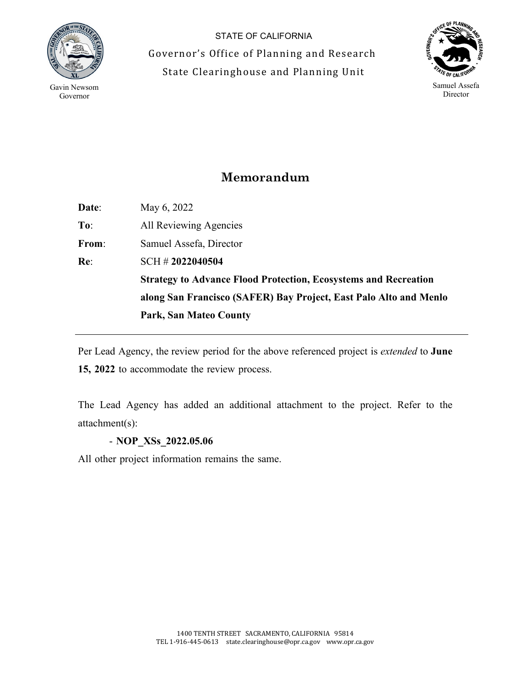

STATE OF CALIFORNIA Governor's Office of Planning and Research State Clearinghouse and Planning Unit



## **Memorandum**

**Date**: May 6, 2022 **To**: All Reviewing Agencies **From**: Samuel Assefa, Director **Re**: SCH # **2022040504 Strategy to Advance Flood Protection, Ecosystems and Recreation along San Francisco (SAFER) Bay Project, East Palo Alto and Menlo Park, San Mateo County** 

Per Lead Agency, the review period for the above referenced project is *extended* to **June 15, 2022** to accommodate the review process.

The Lead Agency has added an additional attachment to the project. Refer to the attachment(s):

- **NOP\_XSs\_2022.05.06**

All other project information remains the same.